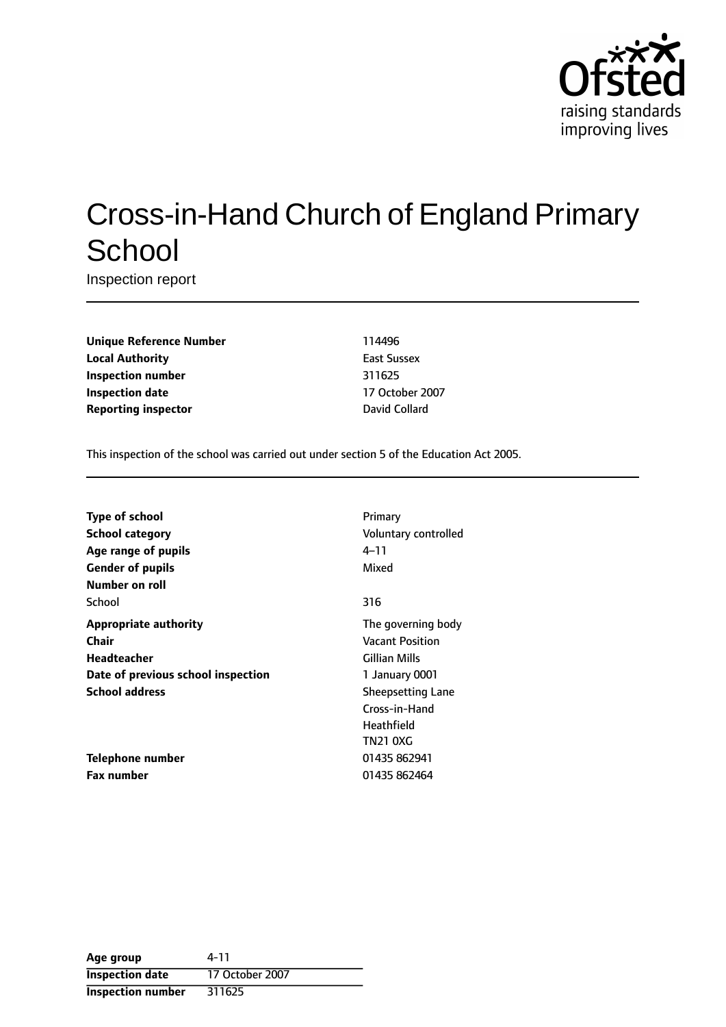

# Cross-in-Hand Church of England Primary **School**

Inspection report

**Unique Reference Number** 114496 **Local Authority East Sussex Inspection number** 311625 **Inspection date** 17 October 2007 **Reporting inspector David Collard** 

This inspection of the school was carried out under section 5 of the Education Act 2005.

| <b>Type of school</b><br><b>School category</b><br>Age range of pupils<br><b>Gender of pupils</b> | Primary<br>Voluntary controlled<br>4–11<br>Mixed                    |
|---------------------------------------------------------------------------------------------------|---------------------------------------------------------------------|
| Number on roll                                                                                    |                                                                     |
| School                                                                                            | 316                                                                 |
| <b>Appropriate authority</b><br>Chair<br>Headteacher                                              | The governing body<br><b>Vacant Position</b><br>Gillian Mills       |
| Date of previous school inspection                                                                | 1 January 0001                                                      |
| <b>School address</b>                                                                             | <b>Sheepsetting Lane</b><br>Cross-in-Hand<br>Heathfield<br>TN21 0XG |
| Telephone number                                                                                  | 01435 862941                                                        |
| <b>Fax number</b>                                                                                 | 01435 862464                                                        |

| Age group                | 4-11            |
|--------------------------|-----------------|
| <b>Inspection date</b>   | 17 October 2007 |
| <b>Inspection number</b> | 311625          |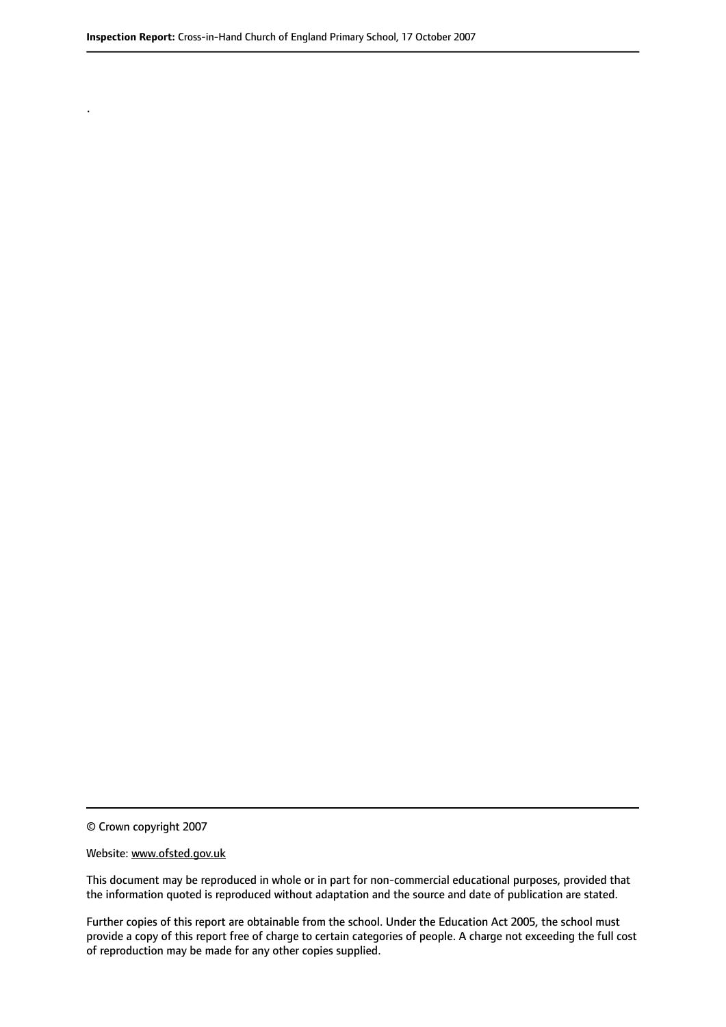© Crown copyright 2007

.

#### Website: www.ofsted.gov.uk

This document may be reproduced in whole or in part for non-commercial educational purposes, provided that the information quoted is reproduced without adaptation and the source and date of publication are stated.

Further copies of this report are obtainable from the school. Under the Education Act 2005, the school must provide a copy of this report free of charge to certain categories of people. A charge not exceeding the full cost of reproduction may be made for any other copies supplied.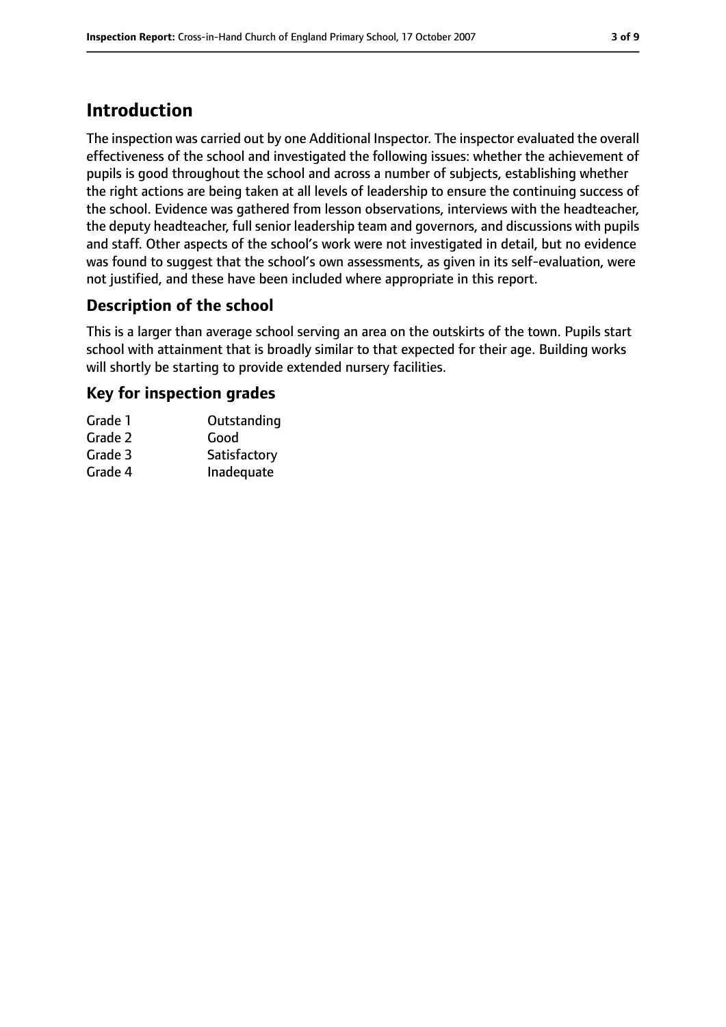# **Introduction**

The inspection was carried out by one Additional Inspector. The inspector evaluated the overall effectiveness of the school and investigated the following issues: whether the achievement of pupils is good throughout the school and across a number of subjects, establishing whether the right actions are being taken at all levels of leadership to ensure the continuing success of the school. Evidence was gathered from lesson observations, interviews with the headteacher, the deputy headteacher, full senior leadership team and governors, and discussions with pupils and staff. Other aspects of the school's work were not investigated in detail, but no evidence was found to suggest that the school's own assessments, as given in its self-evaluation, were not justified, and these have been included where appropriate in this report.

## **Description of the school**

This is a larger than average school serving an area on the outskirts of the town. Pupils start school with attainment that is broadly similar to that expected for their age. Building works will shortly be starting to provide extended nursery facilities.

#### **Key for inspection grades**

| Grade 1 | Outstanding  |
|---------|--------------|
| Grade 2 | Good         |
| Grade 3 | Satisfactory |
| Grade 4 | Inadequate   |
|         |              |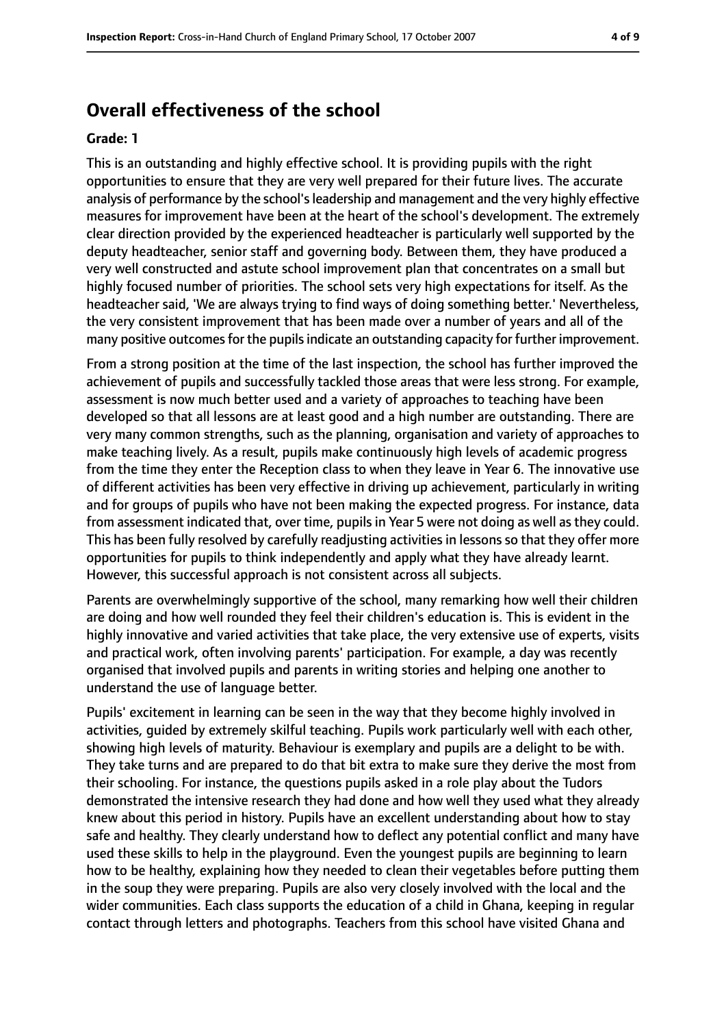## **Overall effectiveness of the school**

#### **Grade: 1**

This is an outstanding and highly effective school. It is providing pupils with the right opportunities to ensure that they are very well prepared for their future lives. The accurate analysis of performance by the school's leadership and management and the very highly effective measures for improvement have been at the heart of the school's development. The extremely clear direction provided by the experienced headteacher is particularly well supported by the deputy headteacher, senior staff and governing body. Between them, they have produced a very well constructed and astute school improvement plan that concentrates on a small but highly focused number of priorities. The school sets very high expectations for itself. As the headteacher said, 'We are always trying to find ways of doing something better.' Nevertheless, the very consistent improvement that has been made over a number of years and all of the many positive outcomes for the pupils indicate an outstanding capacity for further improvement.

From a strong position at the time of the last inspection, the school has further improved the achievement of pupils and successfully tackled those areas that were less strong. For example, assessment is now much better used and a variety of approaches to teaching have been developed so that all lessons are at least good and a high number are outstanding. There are very many common strengths, such as the planning, organisation and variety of approaches to make teaching lively. As a result, pupils make continuously high levels of academic progress from the time they enter the Reception class to when they leave in Year 6. The innovative use of different activities has been very effective in driving up achievement, particularly in writing and for groups of pupils who have not been making the expected progress. For instance, data from assessment indicated that, over time, pupils in Year 5 were not doing as well as they could. This has been fully resolved by carefully readjusting activities in lessons so that they offer more opportunities for pupils to think independently and apply what they have already learnt. However, this successful approach is not consistent across all subjects.

Parents are overwhelmingly supportive of the school, many remarking how well their children are doing and how well rounded they feel their children's education is. This is evident in the highly innovative and varied activities that take place, the very extensive use of experts, visits and practical work, often involving parents' participation. For example, a day was recently organised that involved pupils and parents in writing stories and helping one another to understand the use of language better.

Pupils' excitement in learning can be seen in the way that they become highly involved in activities, guided by extremely skilful teaching. Pupils work particularly well with each other, showing high levels of maturity. Behaviour is exemplary and pupils are a delight to be with. They take turns and are prepared to do that bit extra to make sure they derive the most from their schooling. For instance, the questions pupils asked in a role play about the Tudors demonstrated the intensive research they had done and how well they used what they already knew about this period in history. Pupils have an excellent understanding about how to stay safe and healthy. They clearly understand how to deflect any potential conflict and many have used these skills to help in the playground. Even the youngest pupils are beginning to learn how to be healthy, explaining how they needed to clean their vegetables before putting them in the soup they were preparing. Pupils are also very closely involved with the local and the wider communities. Each class supports the education of a child in Ghana, keeping in regular contact through letters and photographs. Teachers from this school have visited Ghana and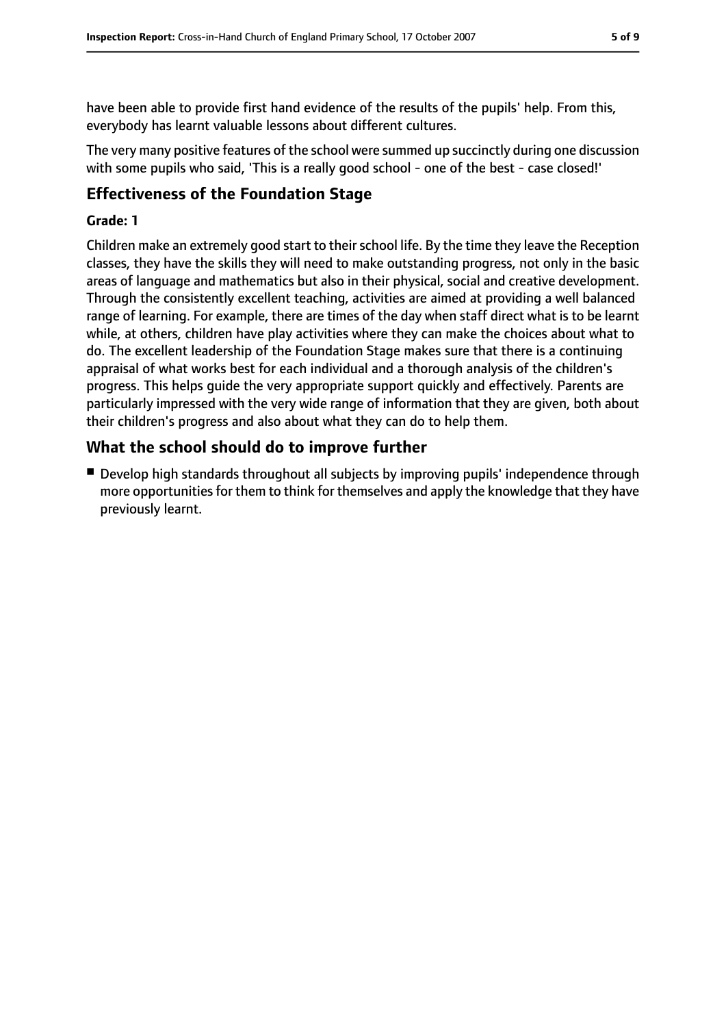have been able to provide first hand evidence of the results of the pupils' help. From this, everybody has learnt valuable lessons about different cultures.

The very many positive features of the school were summed up succinctly during one discussion with some pupils who said, 'This is a really good school - one of the best - case closed!'

## **Effectiveness of the Foundation Stage**

#### **Grade: 1**

Children make an extremely good start to their school life. By the time they leave the Reception classes, they have the skills they will need to make outstanding progress, not only in the basic areas of language and mathematics but also in their physical, social and creative development. Through the consistently excellent teaching, activities are aimed at providing a well balanced range of learning. For example, there are times of the day when staff direct what is to be learnt while, at others, children have play activities where they can make the choices about what to do. The excellent leadership of the Foundation Stage makes sure that there is a continuing appraisal of what works best for each individual and a thorough analysis of the children's progress. This helps guide the very appropriate support quickly and effectively. Parents are particularly impressed with the very wide range of information that they are given, both about their children's progress and also about what they can do to help them.

## **What the school should do to improve further**

■ Develop high standards throughout all subjects by improving pupils' independence through more opportunitiesfor them to think for themselves and apply the knowledge that they have previously learnt.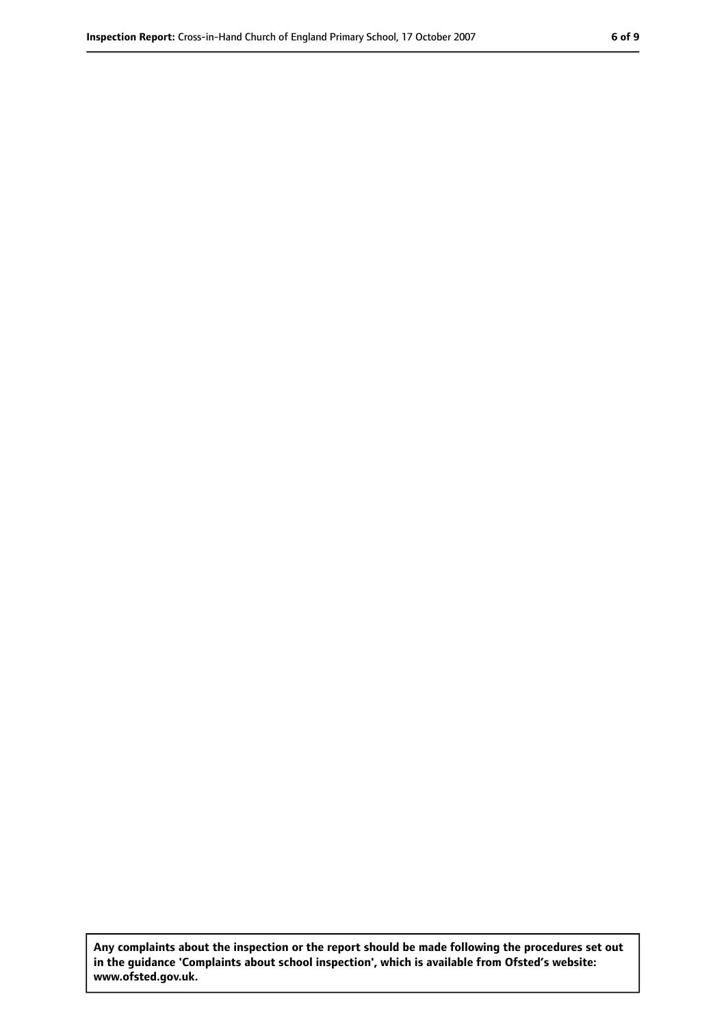**Any complaints about the inspection or the report should be made following the procedures set out in the guidance 'Complaints about school inspection', which is available from Ofsted's website: www.ofsted.gov.uk.**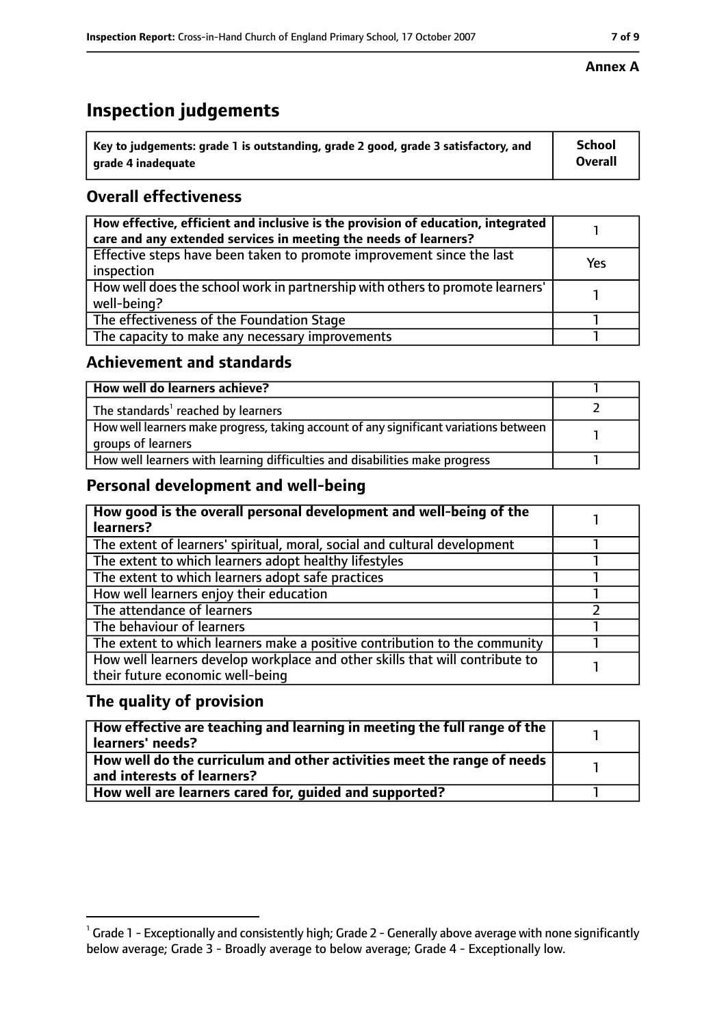# **Inspection judgements**

| $^{\backprime}$ Key to judgements: grade 1 is outstanding, grade 2 good, grade 3 satisfactory, and | <b>School</b>  |
|----------------------------------------------------------------------------------------------------|----------------|
| arade 4 inadequate                                                                                 | <b>Overall</b> |

## **Overall effectiveness**

| How effective, efficient and inclusive is the provision of education, integrated<br>care and any extended services in meeting the needs of learners? |     |
|------------------------------------------------------------------------------------------------------------------------------------------------------|-----|
| Effective steps have been taken to promote improvement since the last<br>inspection                                                                  | Yes |
| How well does the school work in partnership with others to promote learners'<br>well-being?                                                         |     |
| The effectiveness of the Foundation Stage                                                                                                            |     |
| The capacity to make any necessary improvements                                                                                                      |     |

#### **Achievement and standards**

| How well do learners achieve?                                                                               |  |
|-------------------------------------------------------------------------------------------------------------|--|
| The standards <sup>1</sup> reached by learners                                                              |  |
| How well learners make progress, taking account of any significant variations between<br>groups of learners |  |
| How well learners with learning difficulties and disabilities make progress                                 |  |

## **Personal development and well-being**

| How good is the overall personal development and well-being of the<br>learners?                                  |  |
|------------------------------------------------------------------------------------------------------------------|--|
| The extent of learners' spiritual, moral, social and cultural development                                        |  |
| The extent to which learners adopt healthy lifestyles                                                            |  |
| The extent to which learners adopt safe practices                                                                |  |
| How well learners enjoy their education                                                                          |  |
| The attendance of learners                                                                                       |  |
| The behaviour of learners                                                                                        |  |
| The extent to which learners make a positive contribution to the community                                       |  |
| How well learners develop workplace and other skills that will contribute to<br>their future economic well-being |  |

#### **The quality of provision**

| How effective are teaching and learning in meeting the full range of the<br>learners' needs?          |  |
|-------------------------------------------------------------------------------------------------------|--|
| How well do the curriculum and other activities meet the range of needs<br>and interests of learners? |  |
| How well are learners cared for, quided and supported?                                                |  |

 $^1$  Grade 1 - Exceptionally and consistently high; Grade 2 - Generally above average with none significantly below average; Grade 3 - Broadly average to below average; Grade 4 - Exceptionally low.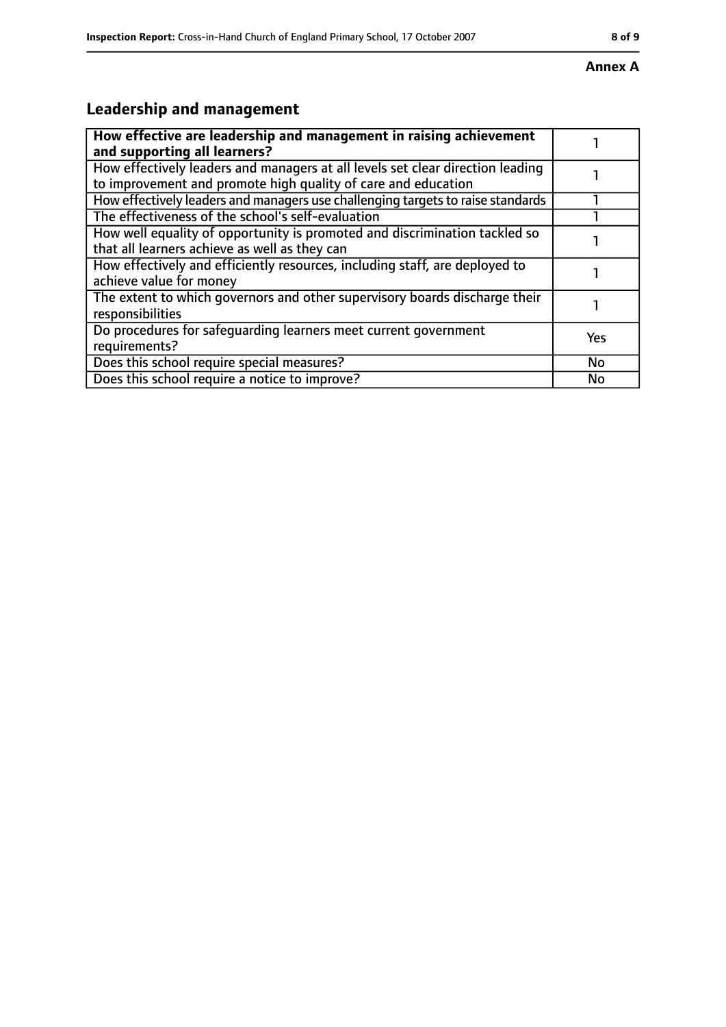#### **Annex A**

# **Leadership and management**

| How effective are leadership and management in raising achievement<br>and supporting all learners?                                              |     |
|-------------------------------------------------------------------------------------------------------------------------------------------------|-----|
| How effectively leaders and managers at all levels set clear direction leading<br>to improvement and promote high quality of care and education |     |
| How effectively leaders and managers use challenging targets to raise standards                                                                 |     |
| The effectiveness of the school's self-evaluation                                                                                               |     |
| How well equality of opportunity is promoted and discrimination tackled so<br>that all learners achieve as well as they can                     |     |
| How effectively and efficiently resources, including staff, are deployed to<br>achieve value for money                                          |     |
| The extent to which governors and other supervisory boards discharge their<br>responsibilities                                                  |     |
| Do procedures for safequarding learners meet current government<br>requirements?                                                                | Yes |
| Does this school require special measures?                                                                                                      | No  |
| Does this school require a notice to improve?                                                                                                   | No  |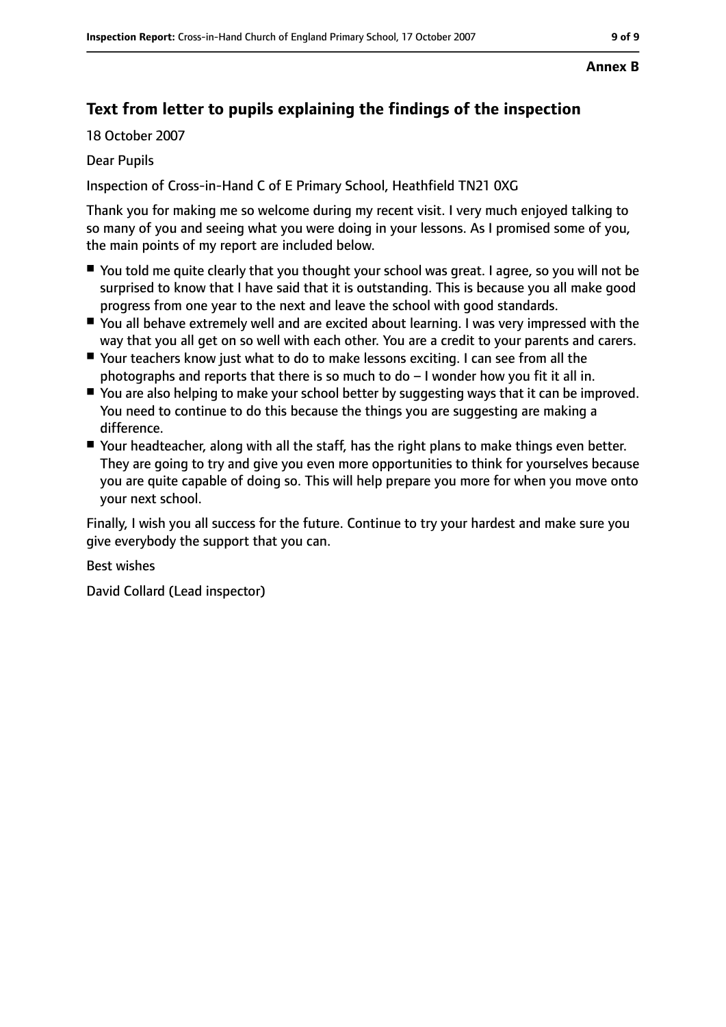#### **Annex B**

## **Text from letter to pupils explaining the findings of the inspection**

18 October 2007

#### Dear Pupils

Inspection of Cross-in-Hand C of E Primary School, Heathfield TN21 0XG

Thank you for making me so welcome during my recent visit. I very much enjoyed talking to so many of you and seeing what you were doing in your lessons. As I promised some of you, the main points of my report are included below.

- You told me quite clearly that you thought your school was great. I agree, so you will not be surprised to know that I have said that it is outstanding. This is because you all make good progress from one year to the next and leave the school with good standards.
- You all behave extremely well and are excited about learning. I was very impressed with the way that you all get on so well with each other. You are a credit to your parents and carers.
- Your teachers know just what to do to make lessons exciting. I can see from all the photographs and reports that there is so much to  $do - I$  wonder how you fit it all in.
- You are also helping to make your school better by suggesting ways that it can be improved. You need to continue to do this because the things you are suggesting are making a difference.
- Your headteacher, along with all the staff, has the right plans to make things even better. They are going to try and give you even more opportunities to think for yourselves because you are quite capable of doing so. This will help prepare you more for when you move onto your next school.

Finally, I wish you all success for the future. Continue to try your hardest and make sure you give everybody the support that you can.

Best wishes

David Collard (Lead inspector)